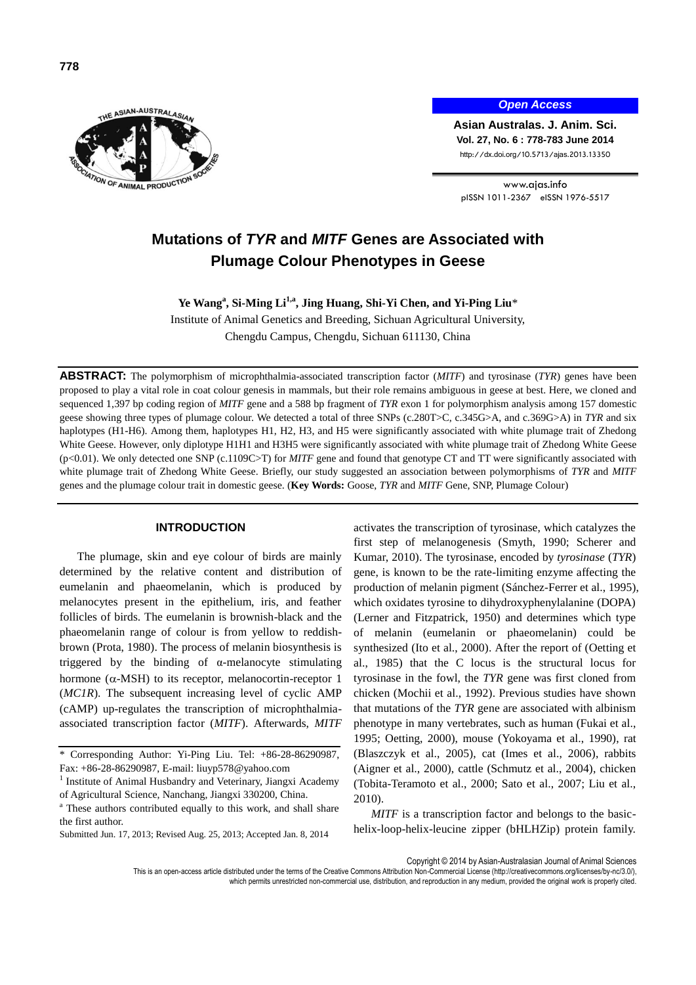

*Open Access*

**Asian Australas. J. Anim. Sci. Vol. 27, No. 6 : 778-783 June 2014** http://dx.doi.org/10.5713/ajas.2013.13350

www.ajas.info pISSN 1011-2367 eISSN 1976-5517

# **Mutations of** *TYR* **and** *MITF* **Genes are Associated with Plumage Colour Phenotypes in Geese**

**Ye Wang<sup>a</sup> , Si-Ming Li1,a , Jing Huang, Shi-Yi Chen, and Yi-Ping Liu**\*

Institute of Animal Genetics and Breeding, Sichuan Agricultural University, Chengdu Campus, Chengdu, Sichuan 611130, China

**ABSTRACT:** The polymorphism of microphthalmia-associated transcription factor (*MITF*) and tyrosinase (*TYR*) genes have been proposed to play a vital role in coat colour genesis in mammals, but their role remains ambiguous in geese at best. Here, we cloned and sequenced 1,397 bp coding region of *MITF* gene and a 588 bp fragment of *TYR* exon 1 for polymorphism analysis among 157 domestic geese showing three types of plumage colour. We detected a total of three SNPs (c.280T>C, c.345G>A, and c.369G>A) in *TYR* and six haplotypes (H1-H6). Among them, haplotypes H1, H2, H3, and H5 were significantly associated with white plumage trait of Zhedong White Geese. However, only diplotype H1H1 and H3H5 were significantly associated with white plumage trait of Zhedong White Geese (p<0.01). We only detected one SNP (c.1109C>T) for *MITF* gene and found that genotype CT and TT were significantly associated with white plumage trait of Zhedong White Geese. Briefly, our study suggested an association between polymorphisms of *TYR* and *MITF* genes and the plumage colour trait in domestic geese. (**Key Words:** Goose, *TYR* and *MITF* Gene, SNP, Plumage Colour)

## **INTRODUCTION**

The plumage, skin and eye colour of birds are mainly determined by the relative content and distribution of eumelanin and phaeomelanin, which is produced by melanocytes present in the epithelium, iris, and feather follicles of birds. The eumelanin is brownish-black and the phaeomelanin range of colour is from yellow to reddishbrown (Prota, 1980). The process of melanin biosynthesis is triggered by the binding of  $\alpha$ -melanocyte stimulating hormone ( $\alpha$ -MSH) to its receptor, melanocortin-receptor 1 (*MC1R*). The subsequent increasing level of cyclic AMP (cAMP) up-regulates the transcription of microphthalmiaassociated transcription factor (*MITF*). Afterwards, *MITF*

activates the transcription of tyrosinase, which catalyzes the first step of melanogenesis (Smyth, 1990; Scherer and Kumar, 2010). The tyrosinase, encoded by *tyrosinase* (*TYR*) gene, is known to be the rate-limiting enzyme affecting the production of melanin pigment (Sánchez-Ferrer et al., 1995), which oxidates tyrosine to dihydroxyphenylalanine (DOPA) (Lerner and Fitzpatrick, 1950) and determines which type of melanin (eumelanin or phaeomelanin) could be synthesized (Ito et al., 2000). After the report of (Oetting et al., 1985) that the C locus is the structural locus for tyrosinase in the fowl, the *TYR* gene was first cloned from chicken (Mochii et al., 1992). Previous studies have shown that mutations of the *TYR* gene are associated with albinism phenotype in many vertebrates, such as human (Fukai et al., 1995; Oetting, 2000), mouse (Yokoyama et al., 1990), rat (Blaszczyk et al., 2005), cat (Imes et al., 2006), rabbits (Aigner et al., 2000), cattle (Schmutz et al., 2004), chicken (Tobita-Teramoto et al., 2000; Sato et al., 2007; Liu et al., 2010).

*MITF* is a transcription factor and belongs to the basichelix-loop-helix-leucine zipper (bHLHZip) protein family.

Copyright © 2014 by Asian-Australasian Journal of Animal Sciences

This is an open-access article distributed under the terms of the Creative Commons Attribution Non-Commercial License [\(http://creativecommons.org/licenses/by-nc/3.0/\),](http://creativecommons.org/licenses/by-nc/3.0/) which permits unrestricted non-commercial use, distribution, and reproduction in any medium, provided the original work is properly cited.

<sup>\*</sup> Corresponding Author: Yi-Ping Liu. Tel: +86-28-86290987, Fax: +86-28-86290987, E-mail: [liuyp578@yahoo.com](mailto:liuyp578@yahoo.com)

<sup>&</sup>lt;sup>1</sup> Institute of Animal Husbandry and Veterinary, Jiangxi Academy of Agricultural Science, Nanchang, Jiangxi 330200, China.

<sup>&</sup>lt;sup>a</sup> These authors contributed equally to this work, and shall share the first author.

Submitted Jun. 17, 2013; Revised Aug. 25, 2013; Accepted Jan. 8, 2014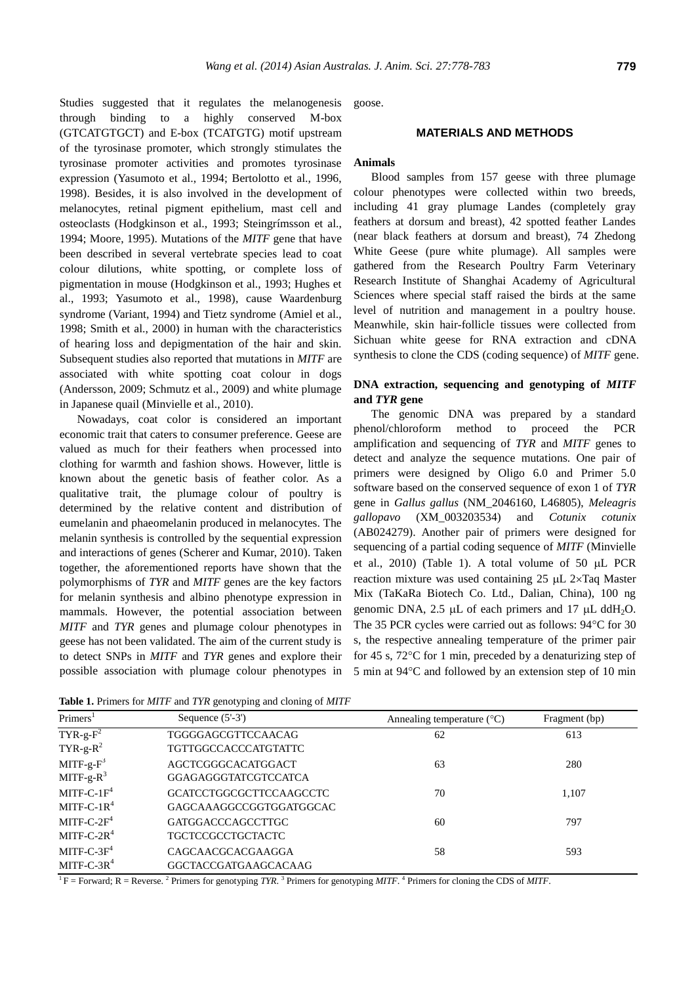Studies suggested that it regulates the melanogenesis through binding to a highly conserved M-box (GTCATGTGCT) and E-box (TCATGTG) motif upstream of the tyrosinase promoter, which strongly stimulates the tyrosinase promoter activities and promotes tyrosinase expression (Yasumoto et al., 1994; Bertolotto et al., 1996, 1998). Besides, it is also involved in the development of melanocytes, retinal pigment epithelium, mast cell and osteoclasts (Hodgkinson et al., 1993; Steingrímsson et al., 1994; Moore, 1995). Mutations of the *MITF* gene that have been described in several vertebrate species lead to coat colour dilutions, white spotting, or complete loss of pigmentation in mouse (Hodgkinson et al., 1993; Hughes et al., 1993; Yasumoto et al., 1998), cause Waardenburg syndrome (Variant, 1994) and Tietz syndrome (Amiel et al., 1998; Smith et al., 2000) in human with the characteristics of hearing loss and depigmentation of the hair and skin. Subsequent studies also reported that mutations in *MITF* are associated with white spotting coat colour in dogs (Andersson, 2009; Schmutz et al., 2009) and white plumage in Japanese quail (Minvielle et al., 2010).

Nowadays, coat color is considered an important economic trait that caters to consumer preference. Geese are valued as much for their feathers when processed into clothing for warmth and fashion shows. However, little is known about the genetic basis of feather color. As a qualitative trait, the plumage colour of poultry is determined by the relative content and distribution of eumelanin and phaeomelanin produced in melanocytes. The melanin synthesis is controlled by the sequential expression and interactions of genes (Scherer and Kumar, 2010). Taken together, the aforementioned reports have shown that the polymorphisms of *TYR* and *MITF* genes are the key factors for melanin synthesis and albino phenotype expression in mammals. However, the potential association between *MITF* and *TYR* genes and plumage colour phenotypes in geese has not been validated. The aim of the current study is to detect SNPs in *MITF* and *TYR* genes and explore their possible association with plumage colour phenotypes in

goose.

# **MATERIALS AND METHODS**

#### **Animals**

Blood samples from 157 geese with three plumage colour phenotypes were collected within two breeds, including 41 gray plumage Landes (completely gray feathers at dorsum and breast), 42 spotted feather Landes (near black feathers at dorsum and breast), 74 Zhedong White Geese (pure white plumage). All samples were gathered from the Research Poultry Farm Veterinary Research Institute of Shanghai Academy of Agricultural Sciences where special staff raised the birds at the same level of nutrition and management in a poultry house. Meanwhile, skin hair-follicle tissues were collected from Sichuan white geese for RNA extraction and cDNA synthesis to clone the CDS (coding sequence) of *MITF* gene.

# **DNA extraction, sequencing and genotyping of** *MITF* **and** *TYR* **gene**

The genomic DNA was prepared by a standard phenol/chloroform method to proceed the PCR amplification and sequencing of *TYR* and *MITF* genes to detect and analyze the sequence mutations. One pair of primers were designed by Oligo 6.0 and Primer 5.0 software based on the conserved sequence of exon 1 of *TYR* gene in *Gallus gallus* (NM\_2046160, L46805), *Meleagris gallopavo* (XM\_003203534) and *Cotunix cotunix* (AB024279). Another pair of primers were designed for sequencing of a partial coding sequence of *MITF* (Minvielle et al.,  $2010$ ) (Table 1). A total volume of 50  $\mu$ L PCR reaction mixture was used containing  $25 \mu L$  2×Taq Master Mix (TaKaRa Biotech Co. Ltd., Dalian, China), 100 ng genomic DNA, 2.5  $\mu$ L of each primers and 17  $\mu$ L ddH<sub>2</sub>O. The 35 PCR cycles were carried out as follows:  $94^{\circ}$ C for 30 s, the respective annealing temperature of the primer pair for 45 s,  $72^{\circ}$ C for 1 min, preceded by a denaturizing step of 5 min at 94C and followed by an extension step of 10 min

| Primers <sup>1</sup> | Sequence $(5'-3')$             | Annealing temperature $(^{\circ}C)$ | Fragment (bp) |
|----------------------|--------------------------------|-------------------------------------|---------------|
| $TYR-g-F2$           | TGGGGAGCGTTCCAACAG             | 62                                  | 613           |
| $TYR-g-R^2$          | TGTTGGCCACCCATGTATTC           |                                     |               |
| $MITF-g-F3$          | AGCTCGGGCACATGGACT             | 63                                  | 280           |
| $MITF-g-R3$          | <b>GGAGAGGGTATCGTCCATCA</b>    |                                     |               |
| $MITF-C-1F4$         | <b>GCATCCTGGCGCTTCCAAGCCTC</b> | 70                                  | 1.107         |
| MITF-C-1 $R^4$       | GAGCAAAGGCCGGTGGATGGCAC        |                                     |               |
| $MITF-C-2F4$         | <b>GATGGACCCAGCCTTGC</b>       | 60                                  | 797           |
| $MITF-C-2R4$         | <b>TGCTCCGCCTGCTACTC</b>       |                                     |               |
| $MITF-C-3F4$         | CAGCAACGCACGAAGGA              | 58                                  | 593           |
| $MITF-C-3R4$         | <b>GGCTACCGATGAAGCACAAG</b>    |                                     |               |

**Table 1.** Primers for *MITF* and *TYR* genotyping and cloning of *MITF*

 ${}^{1}$  F = Forward; R = Reverse. <sup>2</sup> Primers for genotyping *TYR*. <sup>3</sup> Primers for genotyping *MITF*. <sup>4</sup> Primers for cloning the CDS of *MITF*.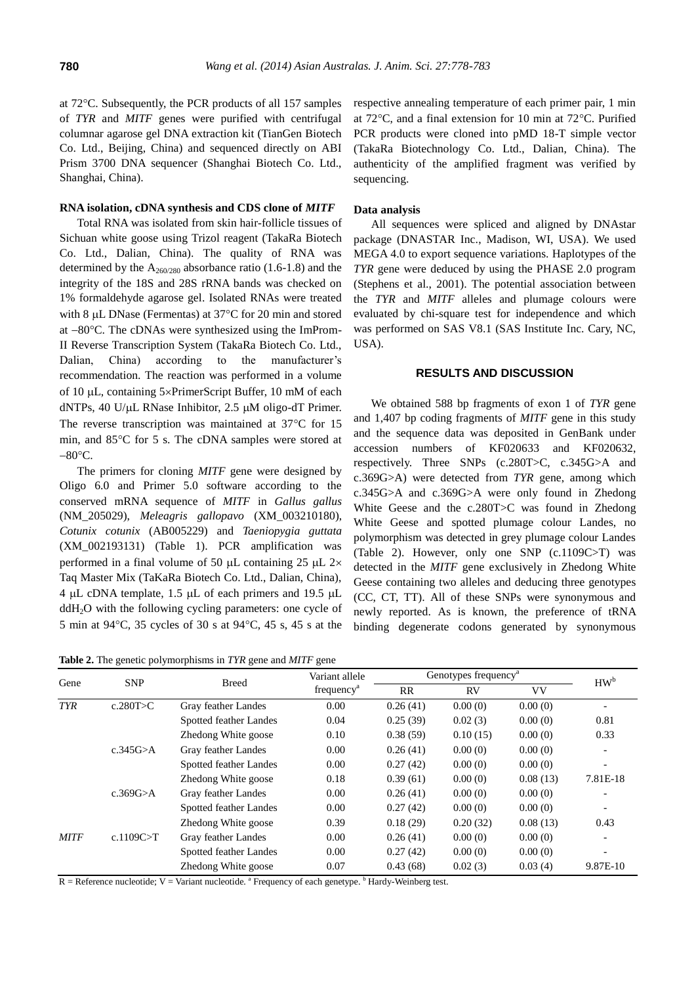at 72°C. Subsequently, the PCR products of all 157 samples of *TYR* and *MITF* genes were purified with centrifugal columnar agarose gel DNA extraction kit (TianGen Biotech Co. Ltd., Beijing, China) and sequenced directly on ABI Prism 3700 DNA sequencer (Shanghai Biotech Co. Ltd., Shanghai, China).

#### **RNA isolation, cDNA synthesis and CDS clone of** *MITF*

Total RNA was isolated from skin hair-follicle tissues of Sichuan white goose using Trizol reagent (TakaRa Biotech Co. Ltd., Dalian, China). The quality of RNA was determined by the  $A_{260/280}$  absorbance ratio (1.6-1.8) and the integrity of the 18S and 28S rRNA bands was checked on 1% formaldehyde agarose gel. Isolated RNAs were treated with 8  $\mu$ L DNase (Fermentas) at 37°C for 20 min and stored at  $-80^{\circ}$ C. The cDNAs were synthesized using the ImProm-II Reverse Transcription System (TakaRa Biotech Co. Ltd., Dalian, China) according to the manufacturer's recommendation. The reaction was performed in a volume of 10 µL, containing 5×PrimerScript Buffer, 10 mM of each dNTPs, 40 U/ $\mu$ L RNase Inhibitor, 2.5  $\mu$ M oligo-dT Primer. The reverse transcription was maintained at  $37^{\circ}$ C for 15 min, and 85°C for 5 s. The cDNA samples were stored at  $-80^{\circ}$ C.

The primers for cloning *MITF* gene were designed by Oligo 6.0 and Primer 5.0 software according to the conserved mRNA sequence of *MITF* in *Gallus gallus*  (NM\_205029), *Meleagris gallopavo* (XM\_003210180), *Cotunix cotunix* (AB005229) and *Taeniopygia guttata* (XM\_002193131) (Table 1). PCR amplification was performed in a final volume of 50  $\mu$ L containing 25  $\mu$ L 2× Taq Master Mix (TaKaRa Biotech Co. Ltd., Dalian, China), 4 µL cDNA template, 1.5 µL of each primers and 19.5 µL  $ddH<sub>2</sub>O$  with the following cycling parameters: one cycle of 5 min at 94C, 35 cycles of 30 s at 94C, 45 s, 45 s at the

**Table 2.** The genetic polymorphisms in *TYR* gene and *MITF* gene

respective annealing temperature of each primer pair, 1 min at  $72^{\circ}$ C, and a final extension for 10 min at  $72^{\circ}$ C. Purified PCR products were cloned into pMD 18-T simple vector (TakaRa Biotechnology Co. Ltd., Dalian, China). The authenticity of the amplified fragment was verified by sequencing.

## **Data analysis**

All sequences were spliced and aligned by DNAstar package (DNASTAR Inc., Madison, WI, USA). We used MEGA 4.0 to export sequence variations. Haplotypes of the *TYR* gene were deduced by using the PHASE 2.0 program (Stephens et al., 2001). The potential association between the *TYR* and *MITF* alleles and plumage colours were evaluated by chi-square test for independence and which was performed on SAS V8.1 (SAS Institute Inc. Cary, NC, USA).

## **RESULTS AND DISCUSSION**

We obtained 588 bp fragments of exon 1 of *TYR* gene and 1,407 bp coding fragments of *MITF* gene in this study and the sequence data was deposited in GenBank under accession numbers of KF020633 and KF020632, respectively. Three SNPs (c.280T>C, c.345G>A and c.369G>A) were detected from *TYR* gene, among which c.345G>A and c.369G>A were only found in Zhedong White Geese and the c.280T>C was found in Zhedong White Geese and spotted plumage colour Landes, no polymorphism was detected in grey plumage colour Landes (Table 2). However, only one SNP (c.1109C>T) was detected in the *MITF* gene exclusively in Zhedong White Geese containing two alleles and deducing three genotypes (CC, CT, TT). All of these SNPs were synonymous and newly reported. As is known, the preference of tRNA binding degenerate codons generated by synonymous

|             |                 |                               | ັ                      |                                  |          |          |                 |
|-------------|-----------------|-------------------------------|------------------------|----------------------------------|----------|----------|-----------------|
| Gene        |                 | <b>Breed</b>                  | Variant allele         | Genotypes frequency <sup>a</sup> |          |          | HW <sup>b</sup> |
|             | <b>SNP</b>      |                               | frequency <sup>a</sup> | <b>RR</b>                        | RV       | VV       |                 |
| <b>TYR</b>  | c.280T $>$ C    | Gray feather Landes           | 0.00                   | 0.26(41)                         | 0.00(0)  | 0.00(0)  |                 |
|             |                 | <b>Spotted feather Landes</b> | 0.04                   | 0.25(39)                         | 0.02(3)  | 0.00(0)  | 0.81            |
|             |                 | Zhedong White goose           | 0.10                   | 0.38(59)                         | 0.10(15) | 0.00(0)  | 0.33            |
|             | c.345G $\geq$ A | Gray feather Landes           | 0.00                   | 0.26(41)                         | 0.00(0)  | 0.00(0)  |                 |
|             |                 | <b>Spotted feather Landes</b> | 0.00                   | 0.27(42)                         | 0.00(0)  | 0.00(0)  |                 |
|             |                 | Zhedong White goose           | 0.18                   | 0.39(61)                         | 0.00(0)  | 0.08(13) | 7.81E-18        |
|             | c.369 $G > A$   | Gray feather Landes           | 0.00                   | 0.26(41)                         | 0.00(0)  | 0.00(0)  |                 |
|             |                 | <b>Spotted feather Landes</b> | 0.00                   | 0.27(42)                         | 0.00(0)  | 0.00(0)  |                 |
|             |                 | Zhedong White goose           | 0.39                   | 0.18(29)                         | 0.20(32) | 0.08(13) | 0.43            |
| <b>MITF</b> | c.1109C $>$ T   | Gray feather Landes           | 0.00                   | 0.26(41)                         | 0.00(0)  | 0.00(0)  |                 |
|             |                 | <b>Spotted feather Landes</b> | 0.00                   | 0.27(42)                         | 0.00(0)  | 0.00(0)  |                 |
|             |                 | Zhedong White goose           | 0.07                   | 0.43(68)                         | 0.02(3)  | 0.03(4)  | 9.87E-10        |
|             |                 |                               |                        |                                  |          |          |                 |

 $R =$  Reference nucleotide;  $V =$  Variant nucleotide.  $A$  Frequency of each genetype.  $b$  Hardy-Weinberg test.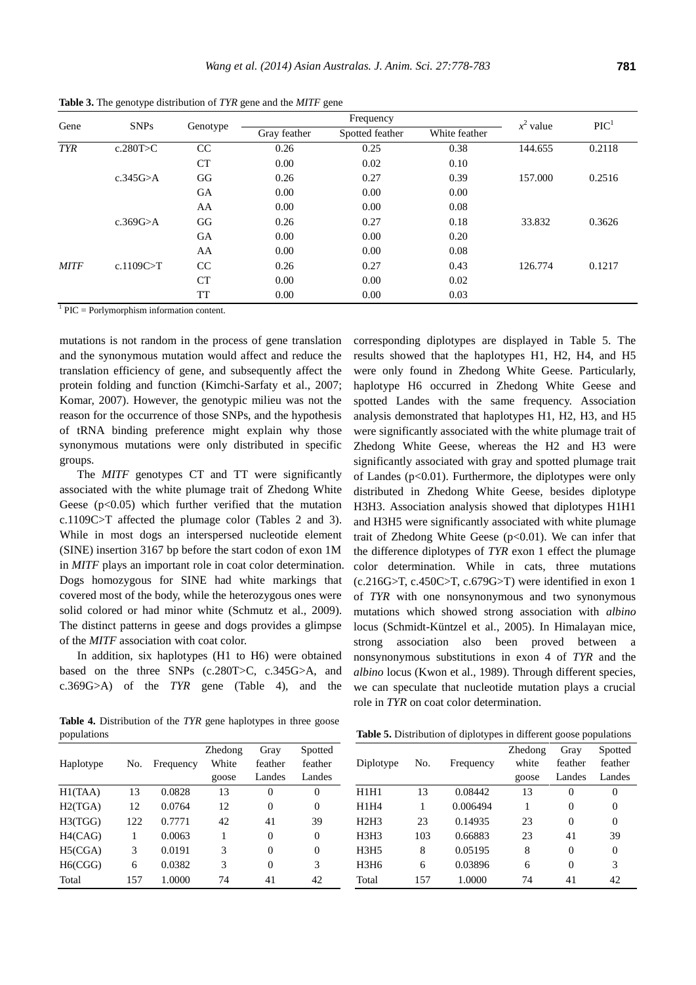| Gene        | <b>SNPs</b>   | Genotype  | Frequency    |                 |               | $x^2$ value | $\text{PIC}^1$ |
|-------------|---------------|-----------|--------------|-----------------|---------------|-------------|----------------|
|             |               |           | Gray feather | Spotted feather | White feather |             |                |
| <b>TYR</b>  | c.280T>C      | CC        | 0.26         | 0.25            | 0.38          | 144.655     | 0.2118         |
|             |               | <b>CT</b> | 0.00         | 0.02            | 0.10          |             |                |
|             | c.345 $G > A$ | GG        | 0.26         | 0.27            | 0.39          | 157.000     | 0.2516         |
|             |               | GA        | 0.00         | 0.00            | 0.00          |             |                |
|             |               | AA        | 0.00         | 0.00            | 0.08          |             |                |
|             | c.369G $> A$  | GG        | 0.26         | 0.27            | 0.18          | 33.832      | 0.3626         |
|             |               | GA        | 0.00         | 0.00            | 0.20          |             |                |
|             |               | AA        | 0.00         | 0.00            | 0.08          |             |                |
| <b>MITF</b> | c.1109C $>$ T | CC        | 0.26         | 0.27            | 0.43          | 126.774     | 0.1217         |
|             |               | CT        | 0.00         | 0.00            | 0.02          |             |                |
|             |               | TT        | 0.00         | 0.00            | 0.03          |             |                |

**Table 3.** The genotype distribution of *TYR* gene and the *MITF* gene

1 PIC = Porlymorphism information content.

mutations is not random in the process of gene translation and the synonymous mutation would affect and reduce the translation efficiency of gene, and subsequently affect the protein folding and function (Kimchi-Sarfaty et al., 2007; Komar, 2007). However, the genotypic milieu was not the reason for the occurrence of those SNPs, and the hypothesis of tRNA binding preference might explain why those synonymous mutations were only distributed in specific groups.

The *MITF* genotypes CT and TT were significantly associated with the white plumage trait of Zhedong White Geese  $(p<0.05)$  which further verified that the mutation c.1109C>T affected the plumage color (Tables 2 and 3). While in most dogs an interspersed nucleotide element (SINE) insertion 3167 bp before the start codon of exon 1M in *MITF* plays an important role in coat color determination. Dogs homozygous for SINE had white markings that covered most of the body, while the heterozygous ones were solid colored or had minor white (Schmutz et al., 2009). The distinct patterns in geese and dogs provides a glimpse of the *MITF* association with coat color.

In addition, six haplotypes (H1 to H6) were obtained based on the three SNPs (c.280T>C, c.345G>A, and c.369G>A) of the *TYR* gene (Table 4), and the

**Table 4.** Distribution of the *TYR* gene haplotypes in three goose populations

| haplotype H6 occurred in Zhedong White Geese and              |              |
|---------------------------------------------------------------|--------------|
| spotted Landes with the same frequency. Association           |              |
| analysis demonstrated that haplotypes H1, H2, H3, and H5      |              |
| were significantly associated with the white plumage trait of |              |
| Zhedong White Geese, whereas the H2 and H3 were               |              |
| significantly associated with gray and spotted plumage trait  |              |
| of Landes ( $p<0.01$ ). Furthermore, the diplotypes were only |              |
| distributed in Zhedong White Geese, besides diplotype         |              |
| H3H3. Association analysis showed that diplotypes H1H1        |              |
| and H3H5 were significantly associated with white plumage     |              |
| trait of Zhedong White Geese $(p<0.01)$ . We can infer that   |              |
| the difference diplotypes of TYR exon 1 effect the plumage    |              |
| color determination. While in cats, three mutations           |              |
| $(c.216G>T, c.450C>T, c.679G>T)$ were identified in exon 1    |              |
| of TYR with one nonsynonymous and two synonymous              |              |
| mutations which showed strong association with albino         |              |
| locus (Schmidt-Küntzel et al., 2005). In Himalayan mice,      |              |
| strong association also been proved between                   | <sub>a</sub> |
| nonsynonymous substitutions in exon 4 of TYR and the          |              |
| albino locus (Kwon et al., 1989). Through different species,  |              |
| we can speculate that nucleotide mutation plays a crucial     |              |
| role in TYR on coat color determination.                      |              |

corresponding diplotypes are displayed in Table 5. The results showed that the haplotypes H1, H2, H4, and H5 were only found in Zhedong White Geese. Particularly,

| populations |     |           |         |         |         |
|-------------|-----|-----------|---------|---------|---------|
|             |     |           | Zhedong | Gray    | Spotted |
| Haplotype   | No. | Frequency | White   | feather | feather |
|             |     |           | goose   | Landes  | Landes  |
| H1(TAA)     | 13  | 0.0828    | 13      | 0       | 0       |
| H2(TGA)     | 12  | 0.0764    | 12      | 0       | 0       |
| H3(TGG)     | 122 | 0.7771    | 42      | 41      | 39      |
| H4(CAG)     | 1   | 0.0063    | 1       | 0       | 0       |
| H5(CGA)     | 3   | 0.0191    | 3       | 0       | 0       |
| H6(CGG)     | 6   | 0.0382    | 3       | 0       | 3       |
| Total       | 157 | 1.0000    | 74      | 41      | 42      |
|             |     |           |         |         |         |

**Table 5.** Distribution of diplotypes in different goose populations

|                               |     | <b>Andre et B</b> home anon or approxyped in anterent goode populations |                           |                           |                              |
|-------------------------------|-----|-------------------------------------------------------------------------|---------------------------|---------------------------|------------------------------|
| Diplotype                     | No. | Frequency                                                               | Zhedong<br>white<br>goose | Gray<br>feather<br>Landes | Spotted<br>feather<br>Landes |
| H1H1                          | 13  | 0.08442                                                                 | 13                        | 0                         | $\theta$                     |
| H1H4                          | 1   | 0.006494                                                                | 1                         | 0                         | 0                            |
| H2H3                          | 23  | 0.14935                                                                 | 23                        | $\theta$                  | 0                            |
| H <sub>3</sub> H <sub>3</sub> | 103 | 0.66883                                                                 | 23                        | 41                        | 39                           |
| H3H5                          | 8   | 0.05195                                                                 | 8                         | 0                         | $\overline{0}$               |
| H3H6                          | 6   | 0.03896                                                                 | 6                         | 0                         | 3                            |
| Total                         | 157 | 1.0000                                                                  | 74                        | 41                        | 42                           |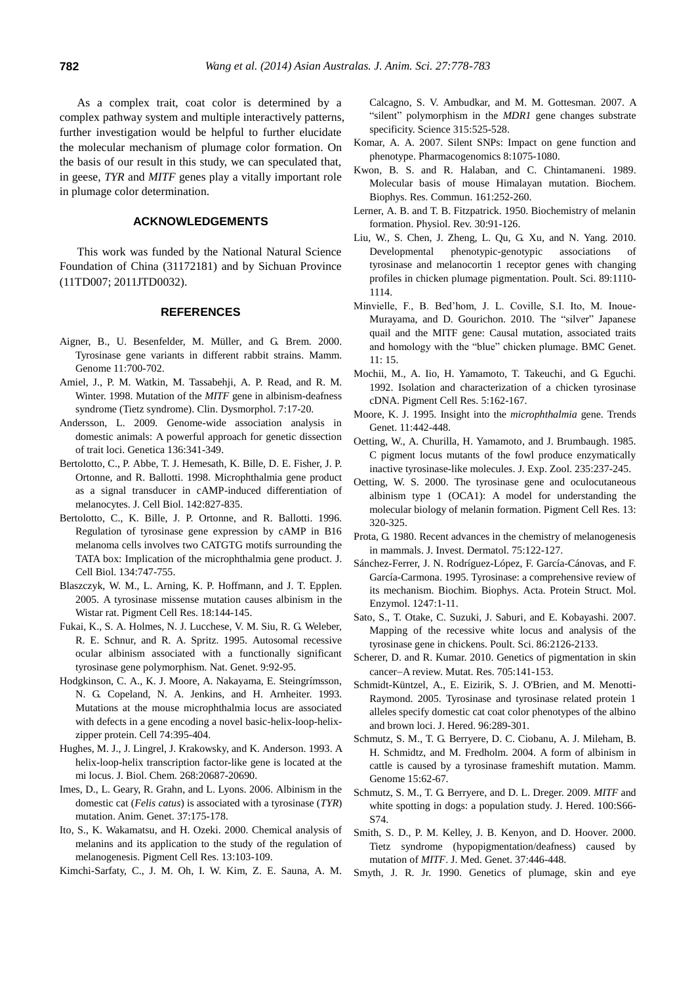As a complex trait, coat color is determined by a complex pathway system and multiple interactively patterns, further investigation would be helpful to further elucidate the molecular mechanism of plumage color formation. On the basis of our result in this study, we can speculated that, in geese, *TYR* and *MITF* genes play a vitally important role in plumage color determination.

# **ACKNOWLEDGEMENTS**

This work was funded by the National Natural Science Foundation of China (31172181) and by Sichuan Province (11TD007; 2011JTD0032).

#### **REFERENCES**

- Aigner, B., U. Besenfelder, M. Müller, and G. Brem. 2000. [Tyrosinase gene variants in different rabbit strains.](http://link.springer.com/article/10.1007%2Fs003350010120?LI=true) Mamm. Genome 11:700-702.
- Amiel, J., P. M. Watkin, M. Tassabehji, A. P. Read, and R. M. Winter. 1998. Mutation of the *MITF* [gene in albinism-deafness](http://europepmc.org/abstract/MED/9546825)  [syndrome \(Tietz syndrome\).](http://europepmc.org/abstract/MED/9546825) Clin. Dysmorphol. 7:17-20.
- Andersson, L. 2009. [Genome-wide association analysis in](http://link.springer.com/article/10.1007/s10709-008-9312-4)  domestic animals: A [powerful approach for genetic dissection](http://link.springer.com/article/10.1007/s10709-008-9312-4)  [of trait loci.](http://link.springer.com/article/10.1007/s10709-008-9312-4) Genetica 136:341-349.
- Bertolotto, C., P. Abbe, T. J. Hemesath, K. Bille, D. E. Fisher, J. P. Ortonne, and R. Ballotti. 1998. [Microphthalmia gene product](http://jcb.rupress.org/content/142/3/827.abstract)  [as a signal transducer in cAMP-induced differentiation of](http://jcb.rupress.org/content/142/3/827.abstract)  [melanocytes.](http://jcb.rupress.org/content/142/3/827.abstract) J. Cell Biol. 142:827-835.
- Bertolotto, C., K. Bille, J. P. Ortonne, and R. Ballotti. 1996. [Regulation of tyrosinase gene expression by cAMP in B16](http://jcb.rupress.org/content/134/3/747.abstract)  [melanoma cells involves two CATGTG motifs surrounding the](http://jcb.rupress.org/content/134/3/747.abstract)  [TATA box: Implication of the microphthalmia gene product.](http://jcb.rupress.org/content/134/3/747.abstract) J. Cell Biol. 134:747-755.
- Blaszczyk, W. M., L. Arning, K. P. Hoffmann, and J. T. Epplen. 2005. [A tyrosinase missense mutation causes albinism in the](http://onlinelibrary.wiley.com/doi/10.1111/j.1600-0749.2005.00227.x/abstract;jsessionid=AC6565C55877D7BB979F08A2E469DEAC.f03t03?deniedAccessCustomisedMessage=&userIsAuthenticated=false)  [Wistar rat.](http://onlinelibrary.wiley.com/doi/10.1111/j.1600-0749.2005.00227.x/abstract;jsessionid=AC6565C55877D7BB979F08A2E469DEAC.f03t03?deniedAccessCustomisedMessage=&userIsAuthenticated=false) Pigment Cell Res. 18:144-145.
- Fukai, K., S. A. Holmes, N. J. Lucchese, V. M. Siu, R. G. Weleber, R. E. Schnur, and R. A. Spritz. 1995. [Autosomal recessive](http://www.nature.com/ng/journal/v9/n1/abs/ng0195-92.html)  [ocular albinism associated with a functionally significant](http://www.nature.com/ng/journal/v9/n1/abs/ng0195-92.html)  [tyrosinase gene polymorphism.](http://www.nature.com/ng/journal/v9/n1/abs/ng0195-92.html) Nat. Genet. 9:92-95.
- Hodgkinson, C. A., K. J. Moore, A. Nakayama, E. Steingrímsson, N. G. Copeland, N. A. Jenkins, and H. Arnheiter. 1993. [Mutations at the mouse microphthalmia locus are associated](http://www.sciencedirect.com/science/article/pii/009286749390429T)  [with defects in a gene encoding a novel basic-helix-loop-helix](http://www.sciencedirect.com/science/article/pii/009286749390429T)[zipper protein.](http://www.sciencedirect.com/science/article/pii/009286749390429T) Cell 74:395-404.
- Hughes, M. J., J. Lingrel, J. Krakowsky, and K. Anderson. 1993. [A](http://www.jbc.org/content/268/28/20687.short)  [helix-loop-helix transcription factor-like gene is located at the](http://www.jbc.org/content/268/28/20687.short)  [mi locus.](http://www.jbc.org/content/268/28/20687.short) J. Biol. Chem. 268:20687-20690.
- Imes, D., L. Geary, R. Grahn, and L. Lyons. 2006. [Albinism in the](http://onlinelibrary.wiley.com/doi/10.1111/j.1365-2052.2005.01409.x/full)  domestic cat (*Felis catus*[\) is associated with a tyrosinase \(](http://onlinelibrary.wiley.com/doi/10.1111/j.1365-2052.2005.01409.x/full)*TYR*) [mutation.](http://onlinelibrary.wiley.com/doi/10.1111/j.1365-2052.2005.01409.x/full) Anim. Genet. 37:175-178.
- Ito, S., K. Wakamatsu, and H. Ozeki. 2000. [Chemical analysis of](http://onlinelibrary.wiley.com/doi/10.1034/j.1600-0749.13.s8.19.x/abstract?deniedAccessCustomisedMessage=&userIsAuthenticated=false)  [melanins and its application to the study of the regulation of](http://onlinelibrary.wiley.com/doi/10.1034/j.1600-0749.13.s8.19.x/abstract?deniedAccessCustomisedMessage=&userIsAuthenticated=false)  [melanogenesis.](http://onlinelibrary.wiley.com/doi/10.1034/j.1600-0749.13.s8.19.x/abstract?deniedAccessCustomisedMessage=&userIsAuthenticated=false) Pigment Cell Res. 13:103-109.
- Kimchi-Sarfaty, C., J. M. Oh, I. W. Kim, Z. E. Sauna, A. M.

Calcagno, S. V. Ambudkar, and M. M. Gottesman. 2007. [A](http://www.sciencemag.org/content/315/5811/525.short) "silent" polymorphism in the *MDR1* [gene changes substrate](http://www.sciencemag.org/content/315/5811/525.short)  [specificity.](http://www.sciencemag.org/content/315/5811/525.short) Science 315:525-528.

- Komar, A. A. 2007. [Silent SNPs: Impact on gene function and](http://www.futuremedicine.com/doi/abs/10.2217/14622416.8.8.1075)  [phenotype.](http://www.futuremedicine.com/doi/abs/10.2217/14622416.8.8.1075) Pharmacogenomics 8:1075-1080.
- Kwon, B. S. and R. Halaban, and C. Chintamaneni. 1989. [Molecular basis of mouse Himalayan mutation.](http://www.sciencedirect.com/science/article/pii/0006291X8991588X) Biochem. Biophys. Res. Commun. 161:252-260.
- Lerner, A. B. and T. B. Fitzpatrick. 1950. Biochemistry of melanin formation. Physiol. Rev. 30:91-126.
- Liu, W., S. Chen, J. Zheng, L. Qu, G. Xu, and N. Yang. 2010. [Developmental phenotypic-genotypic associations of](http://ps.oxfordjournals.org/content/89/6/1110.short)  [tyrosinase and melanocortin 1 receptor genes with changing](http://ps.oxfordjournals.org/content/89/6/1110.short)  [profiles in chicken plumage pigmentation.](http://ps.oxfordjournals.org/content/89/6/1110.short) Poult. Sci. 89:1110- 1114.
- Minvielle, F., B. Bed'hom, J. L. Coville, S.I. Ito, M. Inoue-Murayama, and D. Gourichon. 2010. [The "silver" Japanese](http://www.biomedcentral.com/1471-2156/11/15)  [quail and the MITF gene: Causal mutation, associated traits](http://www.biomedcentral.com/1471-2156/11/15)  [and homology with the "blue" chicken plumage.](http://www.biomedcentral.com/1471-2156/11/15) BMC Genet. 11: 15.
- Mochii, M., A. Iio, H. Yamamoto, T. Takeuchi, and G. Eguchi. 1992. [Isolation and characterization of a chicken tyrosinase](http://onlinelibrary.wiley.com/doi/10.1111/j.1600-0749.1992.tb00454.x/abstract)  [cDNA.](http://onlinelibrary.wiley.com/doi/10.1111/j.1600-0749.1992.tb00454.x/abstract) Pigment Cell Res. 5:162-167.
- Moore, K. J. 1995. [Insight into the](http://www.sciencedirect.com/science/article/pii/S016895250089143X) *microphthalmia* gene. Trends Genet. 11:442-448.
- Oetting, W., A. Churilla, H. Yamamoto, and J. Brumbaugh. 1985. [C pigment locus mutants of the fowl produce enzymatically](http://onlinelibrary.wiley.com/doi/10.1002/jez.1402350210/abstract)  [inactive tyrosinase-like molecules.](http://onlinelibrary.wiley.com/doi/10.1002/jez.1402350210/abstract) J. Exp. Zool. 235:237-245.
- Oetting, W. S. 2000. [The tyrosinase gene and oculocutaneous](http://onlinelibrary.wiley.com/doi/10.1034/j.1600-0749.2000.130503.x/full)  albinism type 1 (OCA1): A [model for understanding the](http://onlinelibrary.wiley.com/doi/10.1034/j.1600-0749.2000.130503.x/full)  [molecular biology of melanin formation.](http://onlinelibrary.wiley.com/doi/10.1034/j.1600-0749.2000.130503.x/full) Pigment Cell Res. 13: 320-325.
- Prota, G. 1980[. Recent advances in the chemistry of melanogenesis](http://web.a.ebscohost.com/abstract?direct=true&profile=ehost&scope=site&authtype=crawler&jrnl=0022202X&AN=12521344&h=%2fR2xq64WnP6T%2btKu7YO6qqlnUarqKoAt2VZ9CFcntJGS1I9jqR%2fpa%2bBjweTyjuomuwjniJze%2fRoGSvQLrIF%2biQ%3d%3d&crl=c)  [in mammals.](http://web.a.ebscohost.com/abstract?direct=true&profile=ehost&scope=site&authtype=crawler&jrnl=0022202X&AN=12521344&h=%2fR2xq64WnP6T%2btKu7YO6qqlnUarqKoAt2VZ9CFcntJGS1I9jqR%2fpa%2bBjweTyjuomuwjniJze%2fRoGSvQLrIF%2biQ%3d%3d&crl=c) J. Invest. Dermatol. 75:122-127.
- Sánchez-Ferrer, J. N. Rodríguez-López, F. García-Cánovas, and F. García-Carmona. 1995. [Tyrosinase: a comprehensive review of](http://www.sciencedirect.com/science/article/pii/016748389400204T)  [its mechanism.](http://www.sciencedirect.com/science/article/pii/016748389400204T) Biochim. Biophys. Acta. Protein Struct. Mol. Enzymol. 1247:1-11.
- Sato, S., T. Otake, C. Suzuki, J. Saburi, and E. Kobayashi. 2007. Mapping of the recessive white locus and analysis of the tyrosinase gene in chickens. Poult. Sci. 86:2126-2133.
- Scherer, D. and R. Kumar. 2010. [Genetics of pigmentation](http://www.sciencedirect.com/science/article/pii/S1383574210000815) in skin cancer-A [review.](http://www.sciencedirect.com/science/article/pii/S1383574210000815) Mutat. Res. 705:141-153.
- Schmidt-Küntzel, A., E. Eizirik, S. J. O'Brien, and M. Menotti-Raymond. 2005. [Tyrosinase and tyrosinase related protein 1](http://jhered.oxfordjournals.org/content/96/4/289.short)  [alleles specify domestic cat coat color phenotypes of the albino](http://jhered.oxfordjournals.org/content/96/4/289.short)  [and brown loci.](http://jhered.oxfordjournals.org/content/96/4/289.short) J. Hered. 96:289-301.
- Schmutz, S. M., T. G. Berryere, D. C. Ciobanu, A. J. Mileham, B. H. Schmidtz, and M. Fredholm. 2004. [A form of albinism in](http://link.springer.com/article/10.1007/s00335-002-2249-5)  [cattle is caused by a tyrosinase frameshift mutation.](http://link.springer.com/article/10.1007/s00335-002-2249-5) Mamm. Genome 15:62-67.
- Schmutz, S. M., T. G. Berryere, and D. L. Dreger. 2009. *[MITF](http://jhered.oxfordjournals.org/content/100/suppl_1/S66.short)* and [white spotting in dogs: a population study.](http://jhered.oxfordjournals.org/content/100/suppl_1/S66.short) J. Hered. 100:S66- S74.
- Smith, S. D., P. M. Kelley, J. B. Kenyon, and D. Hoover. 2000. [Tietz syndrome \(hypopigmentation/deafness\) caused by](http://jmg.bmj.com/content/37/6/446.short)  [mutation of](http://jmg.bmj.com/content/37/6/446.short) *MITF*. J. Med. Genet. 37:446-448.
- Smyth, J. R. Jr. 1990. Genetics of plumage, skin and eye